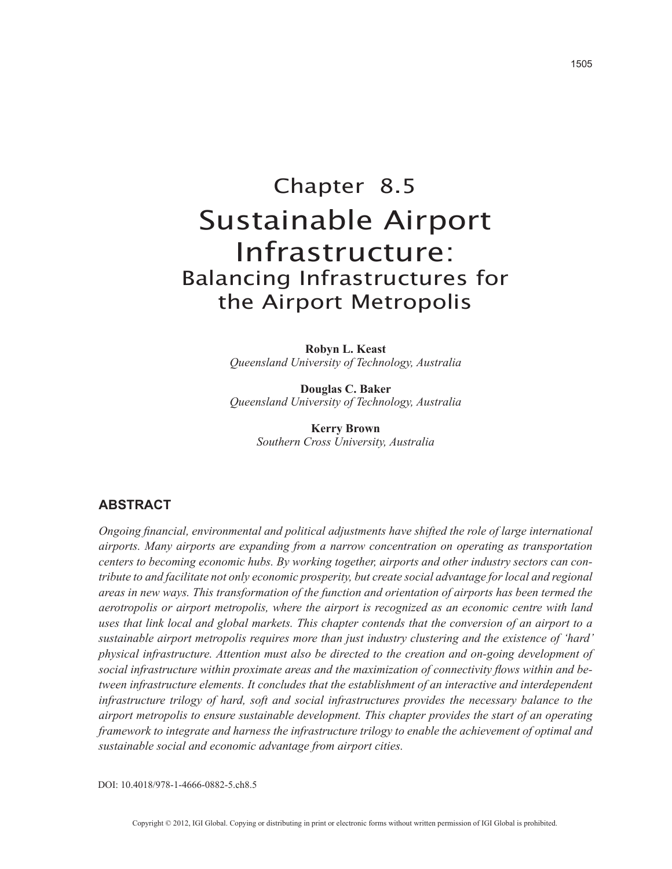# Chapter 8.5 Sustainable Airport Infrastructure: Balancing Infrastructures for the Airport Metropolis

**Robyn L. Keast** *Queensland University of Technology, Australia*

**Douglas C. Baker** *Queensland University of Technology, Australia*

> **Kerry Brown** *Southern Cross University, Australia*

## **ABSTRACT**

*Ongoing financial, environmental and political adjustments have shifted the role of large international airports. Many airports are expanding from a narrow concentration on operating as transportation centers to becoming economic hubs. By working together, airports and other industry sectors can contribute to and facilitate not only economic prosperity, but create social advantage for local and regional areas in new ways. This transformation of the function and orientation of airports has been termed the aerotropolis or airport metropolis, where the airport is recognized as an economic centre with land uses that link local and global markets. This chapter contends that the conversion of an airport to a sustainable airport metropolis requires more than just industry clustering and the existence of 'hard' physical infrastructure. Attention must also be directed to the creation and on-going development of social infrastructure within proximate areas and the maximization of connectivity flows within and between infrastructure elements. It concludes that the establishment of an interactive and interdependent infrastructure trilogy of hard, soft and social infrastructures provides the necessary balance to the airport metropolis to ensure sustainable development. This chapter provides the start of an operating framework to integrate and harness the infrastructure trilogy to enable the achievement of optimal and sustainable social and economic advantage from airport cities.*

DOI: 10.4018/978-1-4666-0882-5.ch8.5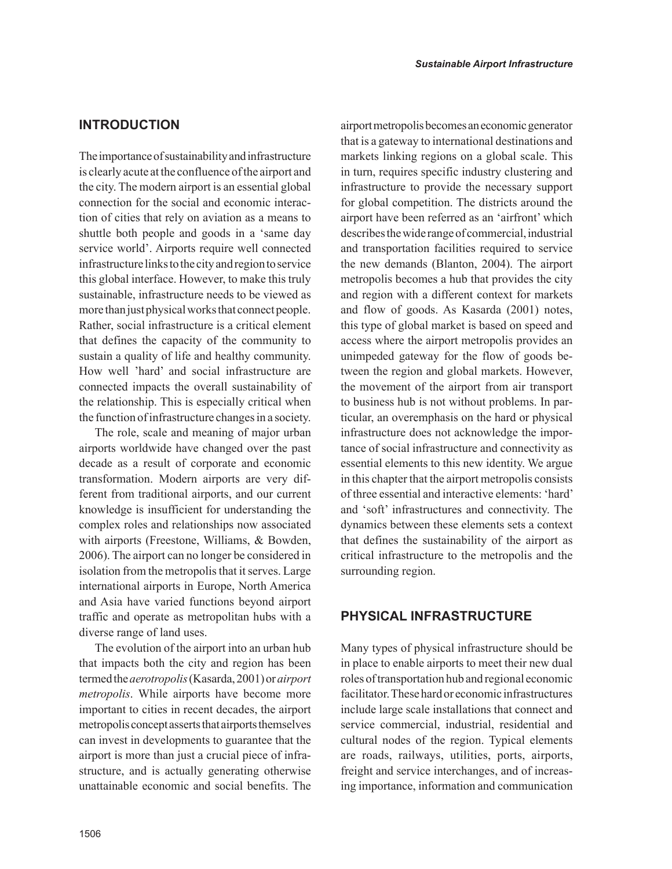## **INTRODUCTION**

The importance of sustainability and infrastructure is clearly acute at the confluence of the airport and the city. The modern airport is an essential global connection for the social and economic interaction of cities that rely on aviation as a means to shuttle both people and goods in a 'same day service world'. Airports require well connected infrastructure links to the city and region to service this global interface. However, to make this truly sustainable, infrastructure needs to be viewed as more than just physical works that connect people. Rather, social infrastructure is a critical element that defines the capacity of the community to sustain a quality of life and healthy community. How well 'hard' and social infrastructure are connected impacts the overall sustainability of the relationship. This is especially critical when the function of infrastructure changes in a society.

The role, scale and meaning of major urban airports worldwide have changed over the past decade as a result of corporate and economic transformation. Modern airports are very different from traditional airports, and our current knowledge is insufficient for understanding the complex roles and relationships now associated with airports (Freestone, Williams, & Bowden, 2006). The airport can no longer be considered in isolation from the metropolis that it serves. Large international airports in Europe, North America and Asia have varied functions beyond airport traffic and operate as metropolitan hubs with a diverse range of land uses.

The evolution of the airport into an urban hub that impacts both the city and region has been termed the *aerotropolis* (Kasarda, 2001) or *airport metropolis*. While airports have become more important to cities in recent decades, the airport metropolis concept asserts that airports themselves can invest in developments to guarantee that the airport is more than just a crucial piece of infrastructure, and is actually generating otherwise unattainable economic and social benefits. The airport metropolis becomes an economic generator that is a gateway to international destinations and markets linking regions on a global scale. This in turn, requires specific industry clustering and infrastructure to provide the necessary support for global competition. The districts around the airport have been referred as an 'airfront' which describes the wide range of commercial, industrial and transportation facilities required to service the new demands (Blanton, 2004). The airport metropolis becomes a hub that provides the city and region with a different context for markets and flow of goods. As Kasarda (2001) notes, this type of global market is based on speed and access where the airport metropolis provides an unimpeded gateway for the flow of goods between the region and global markets. However, the movement of the airport from air transport to business hub is not without problems. In particular, an overemphasis on the hard or physical infrastructure does not acknowledge the importance of social infrastructure and connectivity as essential elements to this new identity. We argue in this chapter that the airport metropolis consists of three essential and interactive elements: 'hard' and 'soft' infrastructures and connectivity. The dynamics between these elements sets a context that defines the sustainability of the airport as critical infrastructure to the metropolis and the surrounding region.

## **PHYSICAL INFRASTRUCTURE**

Many types of physical infrastructure should be in place to enable airports to meet their new dual roles of transportation hub and regional economic facilitator. These hard or economic infrastructures include large scale installations that connect and service commercial, industrial, residential and cultural nodes of the region. Typical elements are roads, railways, utilities, ports, airports, freight and service interchanges, and of increasing importance, information and communication